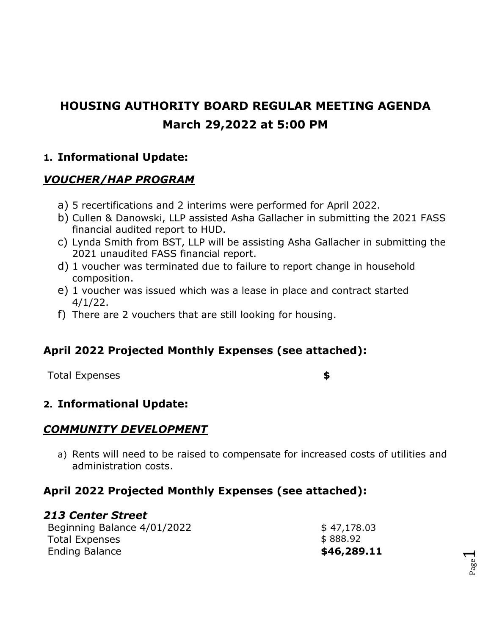# **HOUSING AUTHORITY BOARD REGULAR MEETING AGENDA March 29,2022 at 5:00 PM**

### **1. Informational Update:**

### *VOUCHER/HAP PROGRAM*

- a) 5 recertifications and 2 interims were performed for April 2022.
- b) Cullen & Danowski, LLP assisted Asha Gallacher in submitting the 2021 FASS financial audited report to HUD.
- c) Lynda Smith from BST, LLP will be assisting Asha Gallacher in submitting the 2021 unaudited FASS financial report.
- d) 1 voucher was terminated due to failure to report change in household composition.
- e) 1 voucher was issued which was a lease in place and contract started 4/1/22.
- f) There are 2 vouchers that are still looking for housing.

## **April 2022 Projected Monthly Expenses (see attached):**

Total Expenses **\$**

Page  $\overline{\phantom{0}}$ 

## **2. Informational Update:**

## *COMMUNITY DEVELOPMENT*

a) Rents will need to be raised to compensate for increased costs of utilities and administration costs.

## **April 2022 Projected Monthly Expenses (see attached):**

#### *213 Center Street*

| Beginning Balance 4/01/2022 | \$47,178.03 |
|-----------------------------|-------------|
| <b>Total Expenses</b>       | \$888.92    |
| <b>Ending Balance</b>       | \$46,289.11 |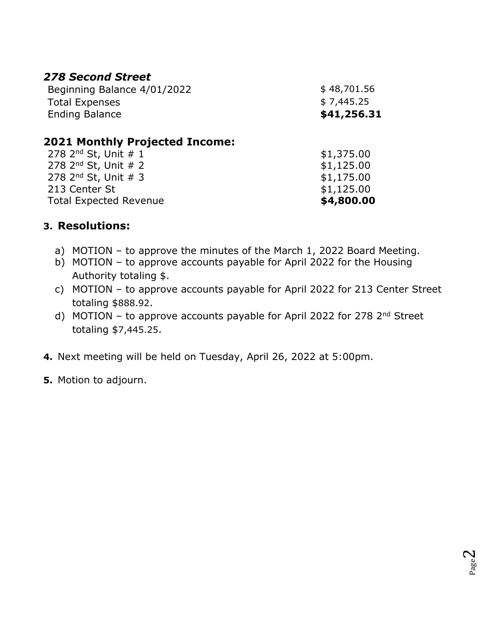### *278 Second Street*

| Beginning Balance 4/01/2022      | \$48,701.56 |
|----------------------------------|-------------|
| <b>Total Expenses</b>            | \$7,445.25  |
| <b>Ending Balance</b>            | \$41,256.31 |
| 8884 M. J.H. B. J. J.J. P. J. J. |             |

#### **2021 Monthly Projected Income:**

| <b>Total Expected Revenue</b> | \$4,800.00 |
|-------------------------------|------------|
| 213 Center St                 | \$1,125.00 |
| 278 $2^{nd}$ St, Unit # 3     | \$1,175.00 |
| 278 $2^{nd}$ St, Unit # 2     | \$1,125.00 |
| 278 $2^{nd}$ St, Unit $# 1$   | \$1,375.00 |

#### **3. Resolutions:**

- a) MOTION to approve the minutes of the March 1, 2022 Board Meeting.
- b) MOTION to approve accounts payable for April 2022 for the Housing Authority totaling \$.
- c) MOTION to approve accounts payable for April 2022 for 213 Center Street totaling \$888.92.
- d) MOTION to approve accounts payable for April 2022 for 278 2<sup>nd</sup> Street totaling \$7,445.25.
- **4.** Next meeting will be held on Tuesday, April 26, 2022 at 5:00pm.
- **5.** Motion to adjourn.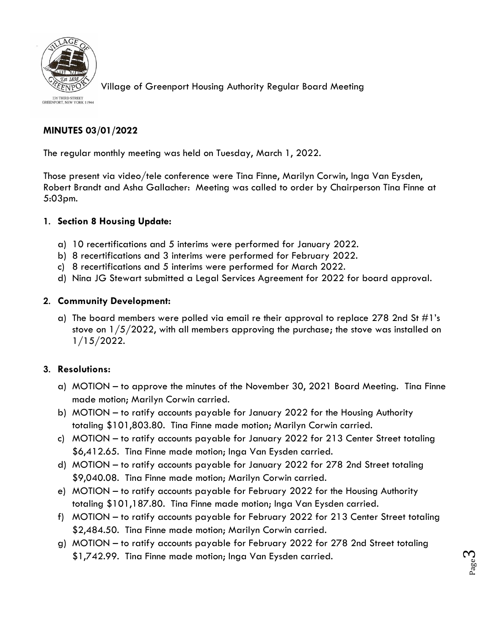

Village of Greenport Housing Authority Regular Board Meeting

236 THIRD STREET<br>GREENPORT, NEW YORK 11944

#### **MINUTES 03/01/2022**

The regular monthly meeting was held on Tuesday, March 1, 2022.

Those present via video/tele conference were Tina Finne, Marilyn Corwin, Inga Van Eysden, Robert Brandt and Asha Gallacher: Meeting was called to order by Chairperson Tina Finne at 5:03pm.

#### **1. Section 8 Housing Update:**

- a) 10 recertifications and 5 interims were performed for January 2022.
- b) 8 recertifications and 3 interims were performed for February 2022.
- c) 8 recertifications and 5 interims were performed for March 2022.
- d) Nina JG Stewart submitted a Legal Services Agreement for 2022 for board approval.

#### **2. Community Development:**

a) The board members were polled via email re their approval to replace 278 2nd St  $\#1$ 's stove on  $1/5/2022$ , with all members approving the purchase; the stove was installed on 1/15/2022.

#### **3. Resolutions:**

- a) MOTION to approve the minutes of the November 30, 2021 Board Meeting. Tina Finne made motion; Marilyn Corwin carried.
- b) MOTION to ratify accounts payable for January 2022 for the Housing Authority totaling \$101,803.80. Tina Finne made motion; Marilyn Corwin carried.
- c) MOTION to ratify accounts payable for January 2022 for 213 Center Street totaling \$6,412.65. Tina Finne made motion; Inga Van Eysden carried.
- d) MOTION to ratify accounts payable for January 2022 for 278 2nd Street totaling \$9,040.08. Tina Finne made motion; Marilyn Corwin carried.
- e) MOTION to ratify accounts payable for February 2022 for the Housing Authority totaling \$101,187.80. Tina Finne made motion; Inga Van Eysden carried.
- f) MOTION to ratify accounts payable for February 2022 for 213 Center Street totaling \$2,484.50. Tina Finne made motion; Marilyn Corwin carried.
- g) MOTION to ratify accounts payable for February 2022 for 278 2nd Street totaling \$1,742.99. Tina Finne made motion; Inga Van Eysden carried.